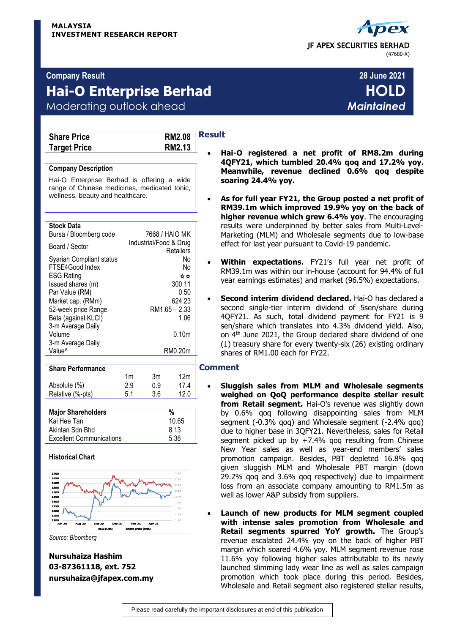

## **Company Result 28 June 2021**

# **Hai-O Enterprise Berhad HOLD**

# Moderating outlook ahead *Maintained*

| <b>Share Price</b>  |  |
|---------------------|--|
| <b>Target Price</b> |  |



#### **Company Description**

Hai-O Enterprise Berhad is offering a wide range of Chinese medicines, medicated tonic, wellness, beauty and healthcare.

#### **Stock Data**

| Bursa / Bloomberg code                                                                                                                                                     |    | 7668 / HAIO MK         |                                                                       |  |
|----------------------------------------------------------------------------------------------------------------------------------------------------------------------------|----|------------------------|-----------------------------------------------------------------------|--|
| Board / Sector                                                                                                                                                             |    | Industrial/Food & Drug | Retailers                                                             |  |
| Syariah Compliant status<br>FTSE4Good Index<br><b>ESG Rating</b><br>Issued shares (m)<br>Par Value (RM)<br>Market cap. (RMm)<br>52-week price Range<br>Beta (against KLCI) |    |                        | No<br>No<br>☆☆<br>300.11<br>0.50<br>624.23<br>$RM1.65 - 2.33$<br>1.06 |  |
| 3-m Average Daily<br>Volume<br>3-m Average Daily<br>Value <sup>^</sup>                                                                                                     |    |                        | 0.10 <sub>m</sub><br>RM0.20m                                          |  |
| <b>Share Performance</b>                                                                                                                                                   |    |                        |                                                                       |  |
|                                                                                                                                                                            | 1m | 3m                     | 12m                                                                   |  |

| Absolute (%)              | 2.9 | 0.9 | 17.4  |  |
|---------------------------|-----|-----|-------|--|
| Relative (%-pts)          | 51  | 36  | 12.0  |  |
|                           |     |     |       |  |
|                           |     |     | %     |  |
| <b>Major Shareholders</b> |     |     |       |  |
| Kai Hee Tan               |     |     | 10.65 |  |

Excellent Communications 5.38

## **Historical Chart**



*Source: Bloomberg*

**Nursuhaiza Hashim 03-87361118, ext. 752 nursuhaiza@jfapex.com.my**

## **Result**

- **Hai-O registered a net profit of RM8.2m during 4QFY21, which tumbled 20.4% qoq and 17.2% yoy. Meanwhile, revenue declined 0.6% qoq despite soaring 24.4% yoy.**
- **As for full year FY21, the Group posted a net profit of RM39.1m which improved 19.9% yoy on the back of higher revenue which grew 6.4% yoy**. The encouraging results were underpinned by better sales from Multi-Level-Marketing (MLM) and Wholesale segments due to low-base effect for last year pursuant to Covid-19 pandemic.
- **Within expectations.** FY21's full year net profit of RM39.1m was within our in-house (account for 94.4% of full year earnings estimates) and market (96.5%) expectations.
- **Second interim dividend declared.** Hai-O has declared a second single-tier interim dividend of 5sen/share during 4QFY21. As such, total dividend payment for FY21 is 9 sen/share which translates into 4.3% dividend yield. Also, on 4<sup>th</sup> June 2021, the Group declared share dividend of one (1) treasury share for every twenty-six (26) existing ordinary shares of RM1.00 each for FY22.

### **Comment**

- **Sluggish sales from MLM and Wholesale segments weighed on QoQ performance despite stellar result**  from Retail segment. Hai-O's revenue was slightly down by 0.6% qoq following disappointing sales from MLM segment (-0.3% qoq) and Wholesale segment (-2.4% qoq) due to higher base in 3QFY21. Nevertheless, sales for Retail segment picked up by +7.4% qoq resulting from Chinese New Year sales as well as year-end members' sales promotion campaign. Besides, PBT depleted 16.8% qoq given sluggish MLM and Wholesale PBT margin (down 29.2% qoq and 3.6% qoq respectively) due to impairment loss from an associate company amounting to RM1.5m as well as lower A&P subsidy from suppliers.
- **Launch of new products for MLM segment coupled with intense sales promotion from Wholesale and Retail segments spurred YoY growth.** The Group's revenue escalated 24.4% yoy on the back of higher PBT margin which soared 4.6% yoy. MLM segment revenue rose 11.6% yoy following higher sales attributable to its newly launched slimming lady wear line as well as sales campaign promotion which took place during this period. Besides, Wholesale and Retail segment also registered stellar results,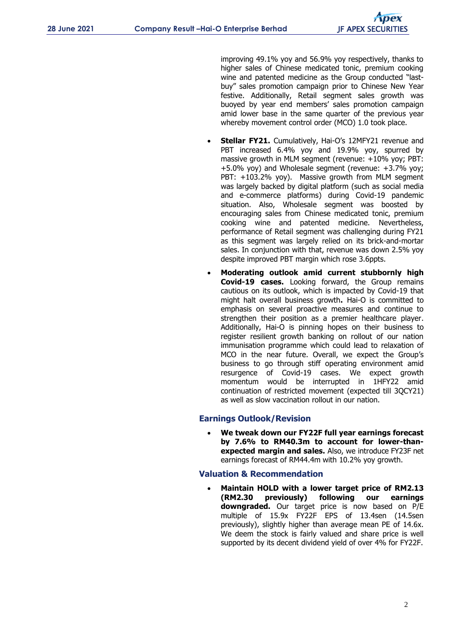improving 49.1% yoy and 56.9% yoy respectively, thanks to higher sales of Chinese medicated tonic, premium cooking wine and patented medicine as the Group conducted "lastbuy" sales promotion campaign prior to Chinese New Year festive. Additionally, Retail segment sales growth was buoyed by year end members' sales promotion campaign amid lower base in the same quarter of the previous year whereby movement control order (MCO) 1.0 took place.

- **Stellar FY21.** Cumulatively, Hai-O's 12MFY21 revenue and PBT increased 6.4% yoy and 19.9% yoy, spurred by massive growth in MLM segment (revenue: +10% yoy; PBT: +5.0% yoy) and Wholesale segment (revenue: +3.7% yoy; PBT: +103.2% yoy). Massive growth from MLM segment was largely backed by digital platform (such as social media and e-commerce platforms) during Covid-19 pandemic situation. Also, Wholesale segment was boosted by encouraging sales from Chinese medicated tonic, premium cooking wine and patented medicine. Nevertheless, performance of Retail segment was challenging during FY21 as this segment was largely relied on its brick-and-mortar sales. In conjunction with that, revenue was down 2.5% yoy despite improved PBT margin which rose 3.6ppts.
- **Moderating outlook amid current stubbornly high Covid-19 cases.** Looking forward, the Group remains cautious on its outlook, which is impacted by Covid-19 that might halt overall business growth**.** Hai-O is committed to emphasis on several proactive measures and continue to strengthen their position as a premier healthcare player. Additionally, Hai-O is pinning hopes on their business to register resilient growth banking on rollout of our nation immunisation programme which could lead to relaxation of MCO in the near future. Overall, we expect the Group's business to go through stiff operating environment amid resurgence of Covid-19 cases. We expect growth momentum would be interrupted in 1HFY22 amid continuation of restricted movement (expected till 3QCY21) as well as slow vaccination rollout in our nation.

## **Earnings Outlook/Revision**

 **We tweak down our FY22F full year earnings forecast by 7.6% to RM40.3m to account for lower-thanexpected margin and sales.** Also, we introduce FY23F net earnings forecast of RM44.4m with 10.2% yoy growth.

## **Valuation & Recommendation**

 **Maintain HOLD with a lower target price of RM2.13 (RM2.30 previously) following our earnings downgraded.** Our target price is now based on P/E multiple of 15.9x FY22F EPS of 13.4sen (14.5sen previously), slightly higher than average mean PE of 14.6x. We deem the stock is fairly valued and share price is well supported by its decent dividend yield of over 4% for FY22F.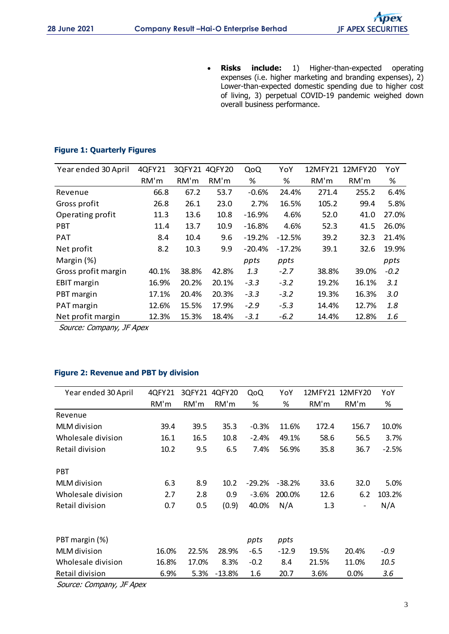**Risks include:** 1) Higher-than-expected operating expenses (i.e. higher marketing and branding expenses), 2) Lower-than-expected domestic spending due to higher cost of living, 3) perpetual COVID-19 pandemic weighed down overall business performance.

## **Figure 1: Quarterly Figures**

| 4QFY21 |       | 4QFY20 | QoQ      | YoY      |       |       | YoY             |
|--------|-------|--------|----------|----------|-------|-------|-----------------|
| RM'm   | RM'm  | RM'm   | %        | %        | RM'm  | RM'm  | %               |
| 66.8   | 67.2  | 53.7   | $-0.6%$  | 24.4%    | 271.4 | 255.2 | 6.4%            |
| 26.8   | 26.1  | 23.0   | 2.7%     | 16.5%    | 105.2 | 99.4  | 5.8%            |
| 11.3   | 13.6  | 10.8   | $-16.9%$ | 4.6%     | 52.0  | 41.0  | 27.0%           |
| 11.4   | 13.7  | 10.9   | $-16.8%$ | 4.6%     | 52.3  | 41.5  | 26.0%           |
| 8.4    | 10.4  | 9.6    | $-19.2%$ | $-12.5%$ | 39.2  | 32.3  | 21.4%           |
| 8.2    | 10.3  | 9.9    | $-20.4%$ | $-17.2%$ | 39.1  | 32.6  | 19.9%           |
|        |       |        | ppts     | ppts     |       |       | ppts            |
| 40.1%  | 38.8% | 42.8%  | 1.3      | $-2.7$   | 38.8% | 39.0% | $-0.2$          |
| 16.9%  | 20.2% | 20.1%  | $-3.3$   | $-3.2$   | 19.2% | 16.1% | 3.1             |
| 17.1%  | 20.4% | 20.3%  | $-3.3$   | $-3.2$   | 19.3% | 16.3% | 3.0             |
| 12.6%  | 15.5% | 17.9%  | $-2.9$   | $-5.3$   | 14.4% | 12.7% | 1.8             |
| 12.3%  | 15.3% | 18.4%  | $-3.1$   | $-6.2$   | 14.4% | 12.8% | 1.6             |
|        |       |        | 3QFY21   |          |       |       | 12MFY21 12MFY20 |

Source: Company, JF Apex

## **Figure 2: Revenue and PBT by division**

| Year ended 30 April | 4QFY21 | 3QFY21 | 4QFY20   | QoQ      | YoY      | 12MFY21 | 12MFY20                  | YoY     |
|---------------------|--------|--------|----------|----------|----------|---------|--------------------------|---------|
|                     | RM'm   | RM'm   | RM'm     | %        | %        | RM'm    | RM'm                     | $\%$    |
| Revenue             |        |        |          |          |          |         |                          |         |
| MLM division        | 39.4   | 39.5   | 35.3     | $-0.3%$  | 11.6%    | 172.4   | 156.7                    | 10.0%   |
| Wholesale division  | 16.1   | 16.5   | 10.8     | $-2.4%$  | 49.1%    | 58.6    | 56.5                     | 3.7%    |
| Retail division     | 10.2   | 9.5    | 6.5      | 7.4%     | 56.9%    | 35.8    | 36.7                     | $-2.5%$ |
| <b>PBT</b>          |        |        |          |          |          |         |                          |         |
| MLM division        | 6.3    | 8.9    | 10.2     | $-29.2%$ | $-38.2%$ | 33.6    | 32.0                     | 5.0%    |
| Wholesale division  | 2.7    | 2.8    | 0.9      | $-3.6%$  | 200.0%   | 12.6    | 6.2                      | 103.2%  |
| Retail division     | 0.7    | 0.5    | (0.9)    | 40.0%    | N/A      | 1.3     | $\overline{\phantom{a}}$ | N/A     |
|                     |        |        |          |          |          |         |                          |         |
| PBT margin (%)      |        |        |          | ppts     | ppts     |         |                          |         |
| MLM division        | 16.0%  | 22.5%  | 28.9%    | $-6.5$   | $-12.9$  | 19.5%   | 20.4%                    | $-0.9$  |
| Wholesale division  | 16.8%  | 17.0%  | 8.3%     | $-0.2$   | 8.4      | 21.5%   | 11.0%                    | 10.5    |
| Retail division     | 6.9%   | 5.3%   | $-13.8%$ | 1.6      | 20.7     | 3.6%    | 0.0%                     | 3.6     |

Source: Company, JF Apex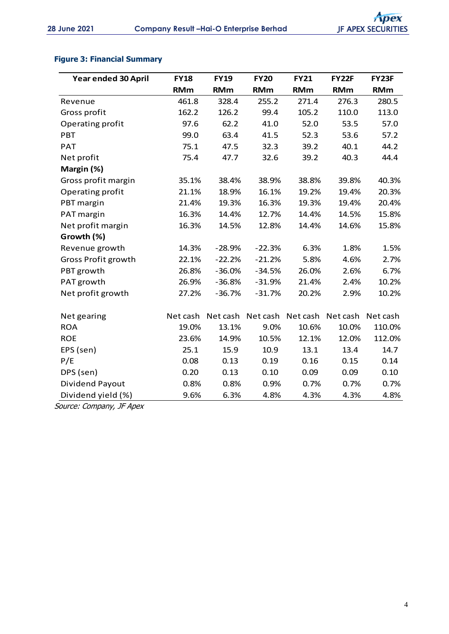## **Figure 3: Financial Summary**

| Year ended 30 April | <b>FY18</b> | <b>FY19</b> | <b>FY20</b> | <b>FY21</b> | <b>FY22F</b> | FY23F      |
|---------------------|-------------|-------------|-------------|-------------|--------------|------------|
|                     | <b>RMm</b>  | <b>RMm</b>  | <b>RMm</b>  | <b>RMm</b>  | <b>RMm</b>   | <b>RMm</b> |
| Revenue             | 461.8       | 328.4       | 255.2       | 271.4       | 276.3        | 280.5      |
| Gross profit        | 162.2       | 126.2       | 99.4        | 105.2       | 110.0        | 113.0      |
| Operating profit    | 97.6        | 62.2        | 41.0        | 52.0        | 53.5         | 57.0       |
| PBT                 | 99.0        | 63.4        | 41.5        | 52.3        | 53.6         | 57.2       |
| <b>PAT</b>          | 75.1        | 47.5        | 32.3        | 39.2        | 40.1         | 44.2       |
| Net profit          | 75.4        | 47.7        | 32.6        | 39.2        | 40.3         | 44.4       |
| Margin (%)          |             |             |             |             |              |            |
| Gross profit margin | 35.1%       | 38.4%       | 38.9%       | 38.8%       | 39.8%        | 40.3%      |
| Operating profit    | 21.1%       | 18.9%       | 16.1%       | 19.2%       | 19.4%        | 20.3%      |
| PBT margin          | 21.4%       | 19.3%       | 16.3%       | 19.3%       | 19.4%        | 20.4%      |
| PAT margin          | 16.3%       | 14.4%       | 12.7%       | 14.4%       | 14.5%        | 15.8%      |
| Net profit margin   | 16.3%       | 14.5%       | 12.8%       | 14.4%       | 14.6%        | 15.8%      |
| Growth (%)          |             |             |             |             |              |            |
| Revenue growth      | 14.3%       | $-28.9%$    | $-22.3%$    | 6.3%        | 1.8%         | 1.5%       |
| Gross Profit growth | 22.1%       | $-22.2%$    | $-21.2%$    | 5.8%        | 4.6%         | 2.7%       |
| PBT growth          | 26.8%       | $-36.0%$    | $-34.5%$    | 26.0%       | 2.6%         | 6.7%       |
| PAT growth          | 26.9%       | $-36.8%$    | $-31.9%$    | 21.4%       | 2.4%         | 10.2%      |
| Net profit growth   | 27.2%       | $-36.7%$    | $-31.7%$    | 20.2%       | 2.9%         | 10.2%      |
|                     |             |             |             |             |              |            |
| Net gearing         | Net cash    | Net cash    | Net cash    | Net cash    | Net cash     | Net cash   |
| <b>ROA</b>          | 19.0%       | 13.1%       | 9.0%        | 10.6%       | 10.0%        | 110.0%     |
| <b>ROE</b>          | 23.6%       | 14.9%       | 10.5%       | 12.1%       | 12.0%        | 112.0%     |
| EPS (sen)           | 25.1        | 15.9        | 10.9        | 13.1        | 13.4         | 14.7       |
| P/E                 | 0.08        | 0.13        | 0.19        | 0.16        | 0.15         | 0.14       |
| DPS (sen)           | 0.20        | 0.13        | 0.10        | 0.09        | 0.09         | 0.10       |
| Dividend Payout     | 0.8%        | 0.8%        | 0.9%        | 0.7%        | 0.7%         | 0.7%       |
| Dividend yield (%)  | 9.6%        | 6.3%        | 4.8%        | 4.3%        | 4.3%         | 4.8%       |

Source: Company, JF Apex